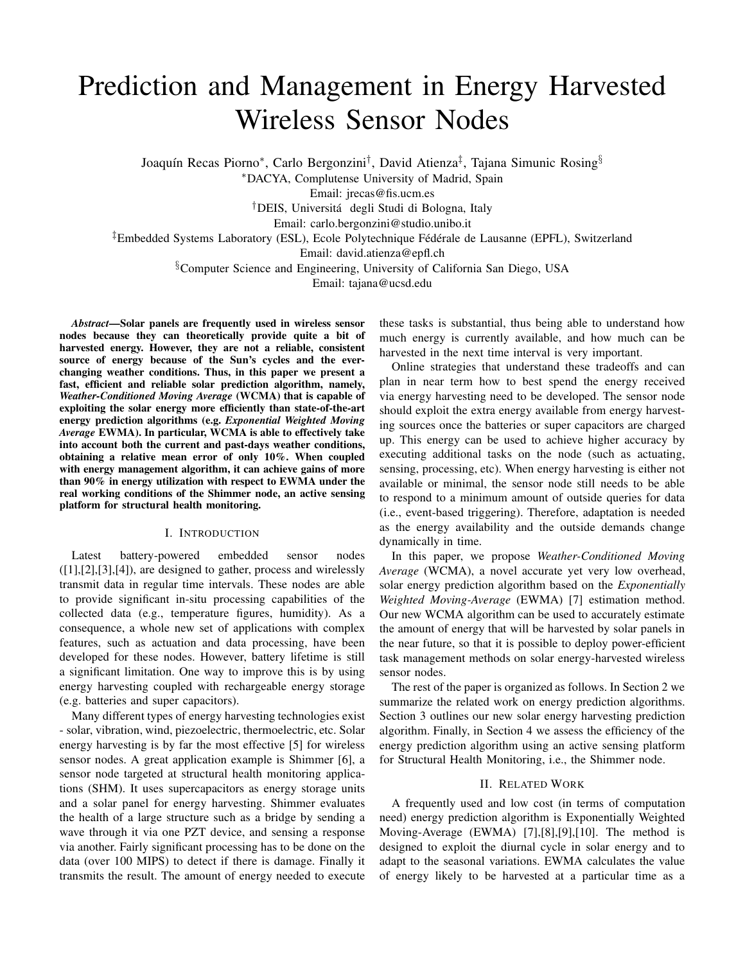# Prediction and Management in Energy Harvested Wireless Sensor Nodes

Joaquín Recas Piorno\*, Carlo Bergonzini<sup>†</sup>, David Atienza<sup>‡</sup>, Tajana Simunic Rosing<sup>§</sup>

<sup>∗</sup>DACYA, Complutense University of Madrid, Spain

Email: jrecas@fis.ucm.es

<sup>†</sup>DEIS, Universitá degli Studi di Bologna, Italy

Email: carlo.bergonzini@studio.unibo.it

‡Embedded Systems Laboratory (ESL), Ecole Polytechnique Fédérale de Lausanne (EPFL), Switzerland

Email: david.atienza@epfl.ch

§Computer Science and Engineering, University of California San Diego, USA

Email: tajana@ucsd.edu

*Abstract***—Solar panels are frequently used in wireless sensor nodes because they can theoretically provide quite a bit of harvested energy. However, they are not a reliable, consistent source of energy because of the Sun's cycles and the everchanging weather conditions. Thus, in this paper we present a fast, efficient and reliable solar prediction algorithm, namely,** *Weather-Conditioned Moving Average* **(WCMA) that is capable of exploiting the solar energy more efficiently than state-of-the-art energy prediction algorithms (e.g.** *Exponential Weighted Moving Average* **EWMA). In particular, WCMA is able to effectively take into account both the current and past-days weather conditions, obtaining a relative mean error of only 10%. When coupled with energy management algorithm, it can achieve gains of more than 90% in energy utilization with respect to EWMA under the real working conditions of the Shimmer node, an active sensing platform for structural health monitoring.**

## I. INTRODUCTION

Latest battery-powered embedded sensor nodes  $([1],[2],[3],[4])$ , are designed to gather, process and wirelessly transmit data in regular time intervals. These nodes are able to provide significant in-situ processing capabilities of the collected data (e.g., temperature figures, humidity). As a consequence, a whole new set of applications with complex features, such as actuation and data processing, have been developed for these nodes. However, battery lifetime is still a significant limitation. One way to improve this is by using energy harvesting coupled with rechargeable energy storage (e.g. batteries and super capacitors).

Many different types of energy harvesting technologies exist - solar, vibration, wind, piezoelectric, thermoelectric, etc. Solar energy harvesting is by far the most effective [5] for wireless sensor nodes. A great application example is Shimmer [6], a sensor node targeted at structural health monitoring applications (SHM). It uses supercapacitors as energy storage units and a solar panel for energy harvesting. Shimmer evaluates the health of a large structure such as a bridge by sending a wave through it via one PZT device, and sensing a response via another. Fairly significant processing has to be done on the data (over 100 MIPS) to detect if there is damage. Finally it transmits the result. The amount of energy needed to execute

these tasks is substantial, thus being able to understand how much energy is currently available, and how much can be harvested in the next time interval is very important.

Online strategies that understand these tradeoffs and can plan in near term how to best spend the energy received via energy harvesting need to be developed. The sensor node should exploit the extra energy available from energy harvesting sources once the batteries or super capacitors are charged up. This energy can be used to achieve higher accuracy by executing additional tasks on the node (such as actuating, sensing, processing, etc). When energy harvesting is either not available or minimal, the sensor node still needs to be able to respond to a minimum amount of outside queries for data (i.e., event-based triggering). Therefore, adaptation is needed as the energy availability and the outside demands change dynamically in time.

In this paper, we propose *Weather-Conditioned Moving Average* (WCMA), a novel accurate yet very low overhead, solar energy prediction algorithm based on the *Exponentially Weighted Moving-Average* (EWMA) [7] estimation method. Our new WCMA algorithm can be used to accurately estimate the amount of energy that will be harvested by solar panels in the near future, so that it is possible to deploy power-efficient task management methods on solar energy-harvested wireless sensor nodes.

The rest of the paper is organized as follows. In Section 2 we summarize the related work on energy prediction algorithms. Section 3 outlines our new solar energy harvesting prediction algorithm. Finally, in Section 4 we assess the efficiency of the energy prediction algorithm using an active sensing platform for Structural Health Monitoring, i.e., the Shimmer node.

### II. RELATED WORK

A frequently used and low cost (in terms of computation need) energy prediction algorithm is Exponentially Weighted Moving-Average (EWMA) [7],[8],[9],[10]. The method is designed to exploit the diurnal cycle in solar energy and to adapt to the seasonal variations. EWMA calculates the value of energy likely to be harvested at a particular time as a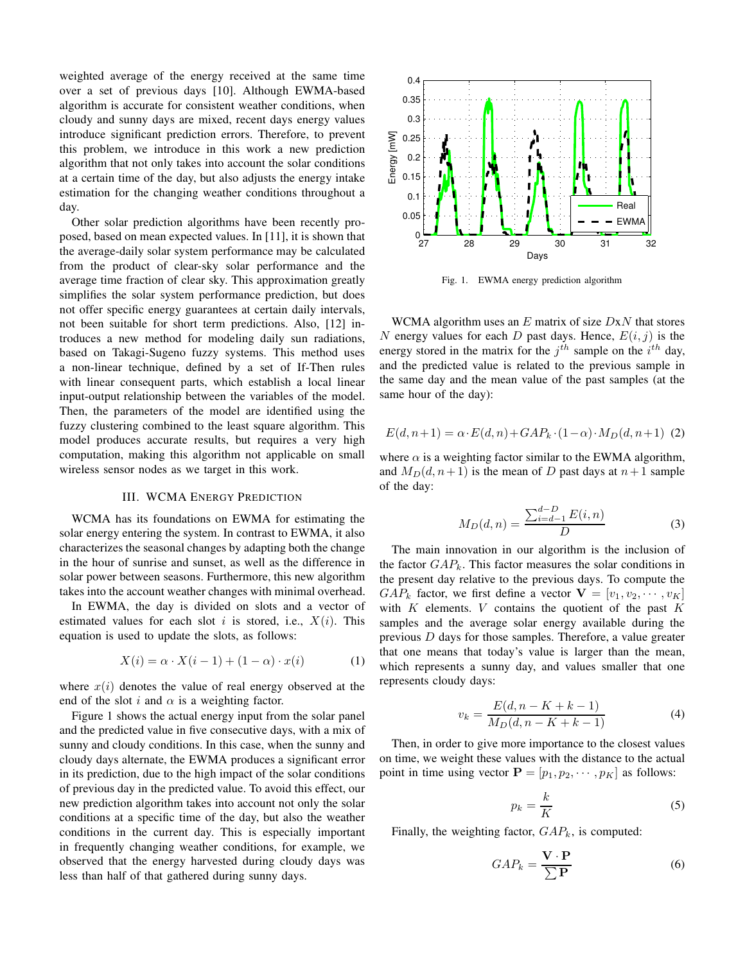weighted average of the energy received at the same time over a set of previous days [10]. Although EWMA-based algorithm is accurate for consistent weather conditions, when cloudy and sunny days are mixed, recent days energy values introduce significant prediction errors. Therefore, to prevent this problem, we introduce in this work a new prediction algorithm that not only takes into account the solar conditions at a certain time of the day, but also adjusts the energy intake estimation for the changing weather conditions throughout a day.

Other solar prediction algorithms have been recently proposed, based on mean expected values. In [11], it is shown that the average-daily solar system performance may be calculated from the product of clear-sky solar performance and the average time fraction of clear sky. This approximation greatly simplifies the solar system performance prediction, but does not offer specific energy guarantees at certain daily intervals, not been suitable for short term predictions. Also, [12] introduces a new method for modeling daily sun radiations, based on Takagi-Sugeno fuzzy systems. This method uses a non-linear technique, defined by a set of If-Then rules with linear consequent parts, which establish a local linear input-output relationship between the variables of the model. Then, the parameters of the model are identified using the fuzzy clustering combined to the least square algorithm. This model produces accurate results, but requires a very high computation, making this algorithm not applicable on small wireless sensor nodes as we target in this work.

#### III. WCMA ENERGY PREDICTION

WCMA has its foundations on EWMA for estimating the solar energy entering the system. In contrast to EWMA, it also characterizes the seasonal changes by adapting both the change in the hour of sunrise and sunset, as well as the difference in solar power between seasons. Furthermore, this new algorithm takes into the account weather changes with minimal overhead.

In EWMA, the day is divided on slots and a vector of estimated values for each slot i is stored, i.e.,  $X(i)$ . This equation is used to update the slots, as follows:

$$
X(i) = \alpha \cdot X(i-1) + (1-\alpha) \cdot x(i) \tag{1}
$$

where  $x(i)$  denotes the value of real energy observed at the end of the slot i and  $\alpha$  is a weighting factor.

Figure 1 shows the actual energy input from the solar panel and the predicted value in five consecutive days, with a mix of sunny and cloudy conditions. In this case, when the sunny and cloudy days alternate, the EWMA produces a significant error in its prediction, due to the high impact of the solar conditions of previous day in the predicted value. To avoid this effect, our new prediction algorithm takes into account not only the solar conditions at a specific time of the day, but also the weather conditions in the current day. This is especially important in frequently changing weather conditions, for example, we observed that the energy harvested during cloudy days was less than half of that gathered during sunny days.



Fig. 1. EWMA energy prediction algorithm

WCMA algorithm uses an  $E$  matrix of size  $DxN$  that stores N energy values for each D past days. Hence,  $E(i, j)$  is the energy stored in the matrix for the  $j^{th}$  sample on the  $i^{th}$  day, and the predicted value is related to the previous sample in the same day and the mean value of the past samples (at the same hour of the day):

$$
E(d, n+1) = \alpha \cdot E(d, n) + GAP_k \cdot (1 - \alpha) \cdot M_D(d, n+1)
$$
 (2)

where  $\alpha$  is a weighting factor similar to the EWMA algorithm, and  $M_D(d, n+1)$  is the mean of D past days at  $n+1$  sample of the day:

$$
M_D(d, n) = \frac{\sum_{i=d-1}^{d-D} E(i, n)}{D}
$$
 (3)

The main innovation in our algorithm is the inclusion of the factor  $GAP_k$ . This factor measures the solar conditions in the present day relative to the previous days. To compute the  $GAP_k$  factor, we first define a vector  $\mathbf{V} = [v_1, v_2, \cdots, v_K]$ with  $K$  elements.  $V$  contains the quotient of the past  $K$ samples and the average solar energy available during the previous D days for those samples. Therefore, a value greater that one means that today's value is larger than the mean, which represents a sunny day, and values smaller that one represents cloudy days:

$$
v_k = \frac{E(d, n - K + k - 1)}{M_D(d, n - K + k - 1)}
$$
(4)

Then, in order to give more importance to the closest values on time, we weight these values with the distance to the actual point in time using vector  $\mathbf{P} = [p_1, p_2, \cdots, p_K]$  as follows:

$$
p_k = \frac{k}{K} \tag{5}
$$

Finally, the weighting factor,  $GAP_k$ , is computed:

$$
GAP_k = \frac{\mathbf{V} \cdot \mathbf{P}}{\sum \mathbf{P}} \tag{6}
$$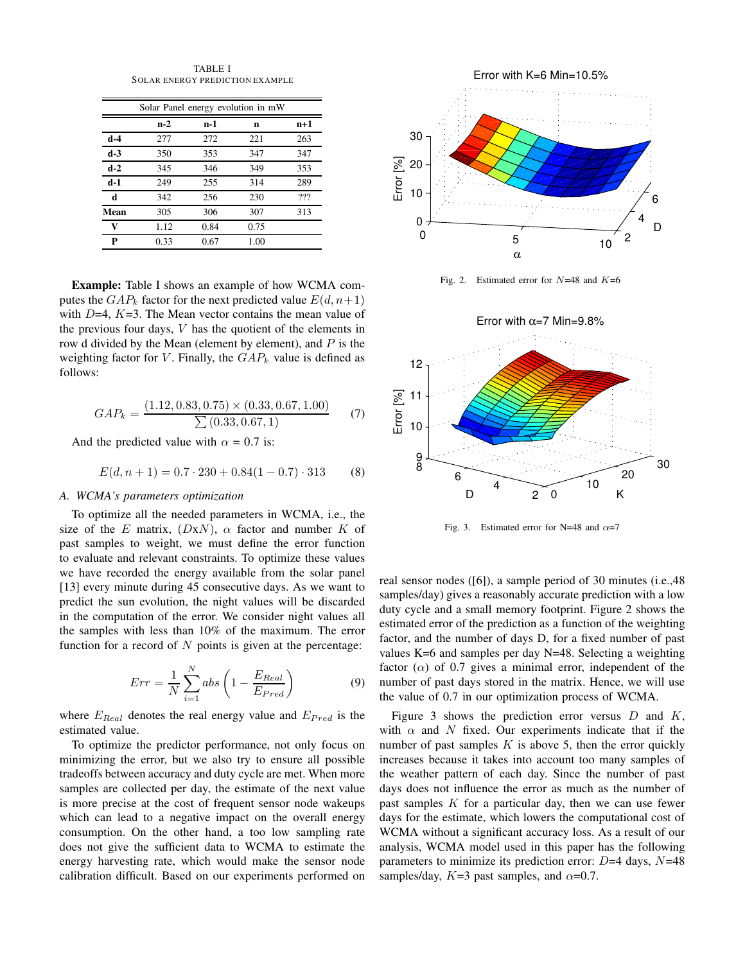TABLE I SOLAR ENERGY PREDICTION EXAMPLE

|       | Solar Panel energy evolution in mW |      |      |     |  |
|-------|------------------------------------|------|------|-----|--|
|       | $n-2$                              | n-1  | n    | n+1 |  |
| $d-4$ | 277                                | 272  | 221  | 263 |  |
| $d-3$ | 350                                | 353  | 347  | 347 |  |
| $d-2$ | 345                                | 346  | 349  | 353 |  |
| $d-1$ | 249                                | 255  | 314  | 289 |  |
| d     | 342                                | 256  | 230  | ??? |  |
| Mean  | 305                                | 306  | 307  | 313 |  |
| v     | 1.12                               | 0.84 | 0.75 |     |  |
| P     | 0.33                               | 0.67 | 1.00 |     |  |

**Example:** Table I shows an example of how WCMA computes the  $GAP_k$  factor for the next predicted value  $E(d, n+1)$ with  $D=4$ ,  $K=3$ . The Mean vector contains the mean value of the previous four days,  $V$  has the quotient of the elements in row d divided by the Mean (element by element), and  $P$  is the weighting factor for V. Finally, the  $GAP_k$  value is defined as follows:

$$
GAP_k = \frac{(1.12, 0.83, 0.75) \times (0.33, 0.67, 1.00)}{\sum (0.33, 0.67, 1)} \tag{7}
$$

And the predicted value with  $\alpha = 0.7$  is:

$$
E(d, n+1) = 0.7 \cdot 230 + 0.84(1 - 0.7) \cdot 313
$$
 (8)

#### *A. WCMA's parameters optimization*

To optimize all the needed parameters in WCMA, i.e., the size of the E matrix,  $(DxN)$ ,  $\alpha$  factor and number K of past samples to weight, we must define the error function to evaluate and relevant constraints. To optimize these values we have recorded the energy available from the solar panel [13] every minute during 45 consecutive days. As we want to predict the sun evolution, the night values will be discarded in the computation of the error. We consider night values all the samples with less than 10% of the maximum. The error function for a record of  $N$  points is given at the percentage:

$$
Err = \frac{1}{N} \sum_{i=1}^{N} abs\left(1 - \frac{E_{Real}}{E_{Pred}}\right)
$$
 (9)

where  $E_{Real}$  denotes the real energy value and  $E_{Pred}$  is the estimated value.

To optimize the predictor performance, not only focus on minimizing the error, but we also try to ensure all possible tradeoffs between accuracy and duty cycle are met. When more samples are collected per day, the estimate of the next value is more precise at the cost of frequent sensor node wakeups which can lead to a negative impact on the overall energy consumption. On the other hand, a too low sampling rate does not give the sufficient data to WCMA to estimate the energy harvesting rate, which would make the sensor node calibration difficult. Based on our experiments performed on



Fig. 2. Estimated error for  $N=48$  and  $K=6$ 



Fig. 3. Estimated error for N=48 and  $\alpha$ =7

real sensor nodes ([6]), a sample period of 30 minutes (i.e.,48 samples/day) gives a reasonably accurate prediction with a low duty cycle and a small memory footprint. Figure 2 shows the estimated error of the prediction as a function of the weighting factor, and the number of days D, for a fixed number of past values K=6 and samples per day N=48. Selecting a weighting factor ( $\alpha$ ) of 0.7 gives a minimal error, independent of the number of past days stored in the matrix. Hence, we will use the value of 0.7 in our optimization process of WCMA.

Figure 3 shows the prediction error versus  $D$  and  $K$ , with  $\alpha$  and  $N$  fixed. Our experiments indicate that if the number of past samples  $K$  is above 5, then the error quickly increases because it takes into account too many samples of the weather pattern of each day. Since the number of past days does not influence the error as much as the number of past samples  $K$  for a particular day, then we can use fewer days for the estimate, which lowers the computational cost of WCMA without a significant accuracy loss. As a result of our analysis, WCMA model used in this paper has the following parameters to minimize its prediction error:  $D=4$  days,  $N=48$ samples/day,  $K=3$  past samples, and  $\alpha=0.7$ .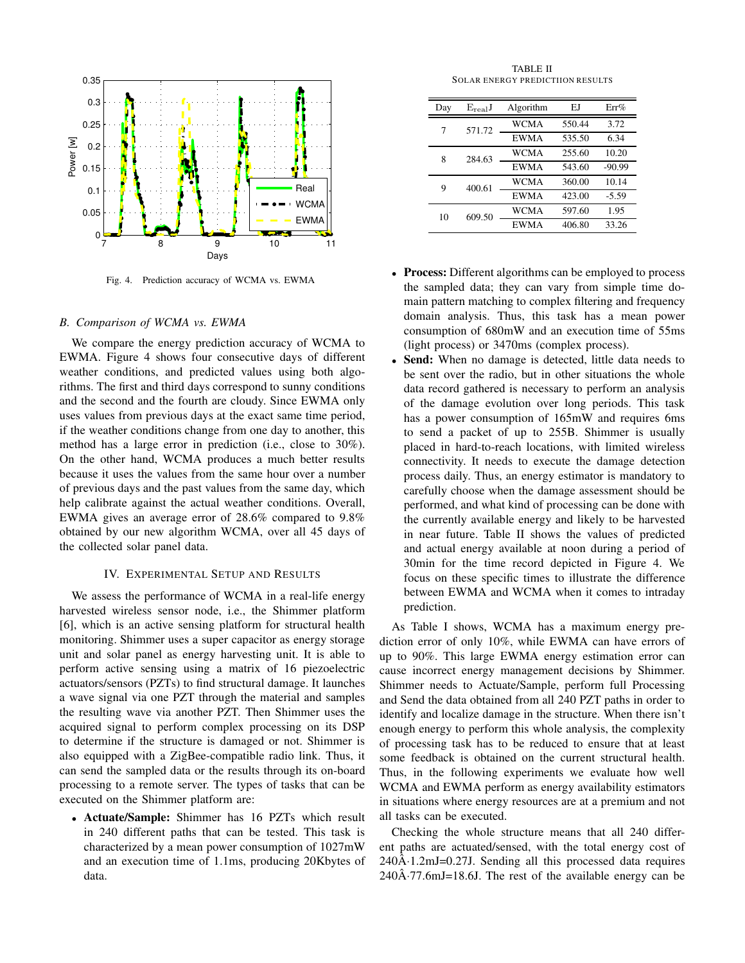

Fig. 4. Prediction accuracy of WCMA vs. EWMA

## *B. Comparison of WCMA vs. EWMA*

We compare the energy prediction accuracy of WCMA to EWMA. Figure 4 shows four consecutive days of different weather conditions, and predicted values using both algorithms. The first and third days correspond to sunny conditions and the second and the fourth are cloudy. Since EWMA only uses values from previous days at the exact same time period, if the weather conditions change from one day to another, this method has a large error in prediction (i.e., close to 30%). On the other hand, WCMA produces a much better results because it uses the values from the same hour over a number of previous days and the past values from the same day, which help calibrate against the actual weather conditions. Overall, EWMA gives an average error of 28.6% compared to 9.8% obtained by our new algorithm WCMA, over all 45 days of the collected solar panel data.

## IV. EXPERIMENTAL SETUP AND RESULTS

We assess the performance of WCMA in a real-life energy harvested wireless sensor node, i.e., the Shimmer platform [6], which is an active sensing platform for structural health monitoring. Shimmer uses a super capacitor as energy storage unit and solar panel as energy harvesting unit. It is able to perform active sensing using a matrix of 16 piezoelectric actuators/sensors (PZTs) to find structural damage. It launches a wave signal via one PZT through the material and samples the resulting wave via another PZT. Then Shimmer uses the acquired signal to perform complex processing on its DSP to determine if the structure is damaged or not. Shimmer is also equipped with a ZigBee-compatible radio link. Thus, it can send the sampled data or the results through its on-board processing to a remote server. The types of tasks that can be executed on the Shimmer platform are:

• **Actuate/Sample:** Shimmer has 16 PZTs which result in 240 different paths that can be tested. This task is characterized by a mean power consumption of 1027mW and an execution time of 1.1ms, producing 20Kbytes of data.

TABLE II SOLAR ENERGY PREDICTIION RESULTS

| Day | $\mathrm{E_{real}}$ J | Algorithm   | EJ     | Err%     |
|-----|-----------------------|-------------|--------|----------|
| 7   | 571.72                | <b>WCMA</b> | 550.44 | 3.72     |
|     |                       | <b>EWMA</b> | 535.50 | 6.34     |
| 8   | 284.63                | <b>WCMA</b> | 255.60 | 10.20    |
|     |                       | <b>EWMA</b> | 543.60 | $-90.99$ |
| 9   | 400.61                | <b>WCMA</b> | 360.00 | 10.14    |
|     |                       | <b>EWMA</b> | 423.00 | $-5.59$  |
| 10  | 609.50                | <b>WCMA</b> | 597.60 | 1.95     |
|     |                       | <b>EWMA</b> | 406.80 | 33.26    |

- **Process:** Different algorithms can be employed to process the sampled data; they can vary from simple time domain pattern matching to complex filtering and frequency domain analysis. Thus, this task has a mean power consumption of 680mW and an execution time of 55ms (light process) or 3470ms (complex process).
- Send: When no damage is detected, little data needs to be sent over the radio, but in other situations the whole data record gathered is necessary to perform an analysis of the damage evolution over long periods. This task has a power consumption of 165mW and requires 6ms to send a packet of up to 255B. Shimmer is usually placed in hard-to-reach locations, with limited wireless connectivity. It needs to execute the damage detection process daily. Thus, an energy estimator is mandatory to carefully choose when the damage assessment should be performed, and what kind of processing can be done with the currently available energy and likely to be harvested in near future. Table II shows the values of predicted and actual energy available at noon during a period of 30min for the time record depicted in Figure 4. We focus on these specific times to illustrate the difference between EWMA and WCMA when it comes to intraday prediction.

As Table I shows, WCMA has a maximum energy prediction error of only 10%, while EWMA can have errors of up to 90%. This large EWMA energy estimation error can cause incorrect energy management decisions by Shimmer. Shimmer needs to Actuate/Sample, perform full Processing and Send the data obtained from all 240 PZT paths in order to identify and localize damage in the structure. When there isn't enough energy to perform this whole analysis, the complexity of processing task has to be reduced to ensure that at least some feedback is obtained on the current structural health. Thus, in the following experiments we evaluate how well WCMA and EWMA perform as energy availability estimators in situations where energy resources are at a premium and not all tasks can be executed.

Checking the whole structure means that all 240 different paths are actuated/sensed, with the total energy cost of  $240\text{\AA} \cdot 1.2 \text{mJ} = 0.27 \text{J}$ . Sending all this processed data requires  $240\text{\AA}$   $-77.6\text{mJ} = 18.6\text{J}$ . The rest of the available energy can be